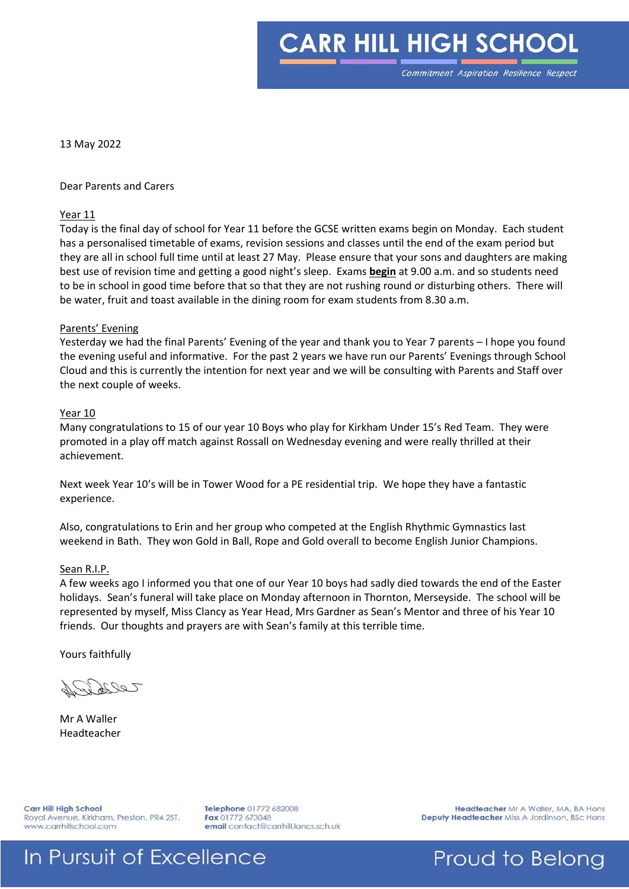**CARR HILL HIGH SCHOOL** 

13 May 2022

Dear Parents and Carers

#### Year 11

Today is the final day of school for Year 11 before the GCSE written exams begin on Monday. Each student has a personalised timetable of exams, revision sessions and classes until the end of the exam period but they are all in school full time until at least 27 May. Please ensure that your sons and daughters are making best use of revision time and getting a good night's sleep. Exams **begin** at 9.00 a.m. and so students need to be in school in good time before that so that they are not rushing round or disturbing others. There will be water, fruit and toast available in the dining room for exam students from 8.30 a.m.

#### Parents' Evening

Yesterday we had the final Parents' Evening of the year and thank you to Year 7 parents – I hope you found the evening useful and informative. For the past 2 years we have run our Parents' Evenings through School Cloud and this is currently the intention for next year and we will be consulting with Parents and Staff over the next couple of weeks.

### Year 10

Many congratulations to 15 of our year 10 Boys who play for Kirkham Under 15's Red Team. They were promoted in a play off match against Rossall on Wednesday evening and were really thrilled at their achievement.

Next week Year 10's will be in Tower Wood for a PE residential trip. We hope they have a fantastic experience.

Also, congratulations to Erin and her group who competed at the English Rhythmic Gymnastics last weekend in Bath. They won Gold in Ball, Rope and Gold overall to become English Junior Champions.

#### Sean R.I.P.

A few weeks ago I informed you that one of our Year 10 boys had sadly died towards the end of the Easter holidays. Sean's funeral will take place on Monday afternoon in Thornton, Merseyside. The school will be represented by myself, Miss Clancy as Year Head, Mrs Gardner as Sean's Mentor and three of his Year 10 friends. Our thoughts and prayers are with Sean's family at this terrible time.

Yours faithfully

Leery

Mr A Waller Headteacher

Carr Hill High School Royal Avenue, Kirkham, Preston. PR4 2ST. www.carrhillschool.com

Telephone 01772 682008 Fax 01772 673048 email contact@carrhill.lancs.sch.uk

Headteacher Mr A Waller, MA, BA Hons Deputy Headteacher Miss A Jordinson, BSc Hons

## In Pursuit of Excellence

Proud to Belong